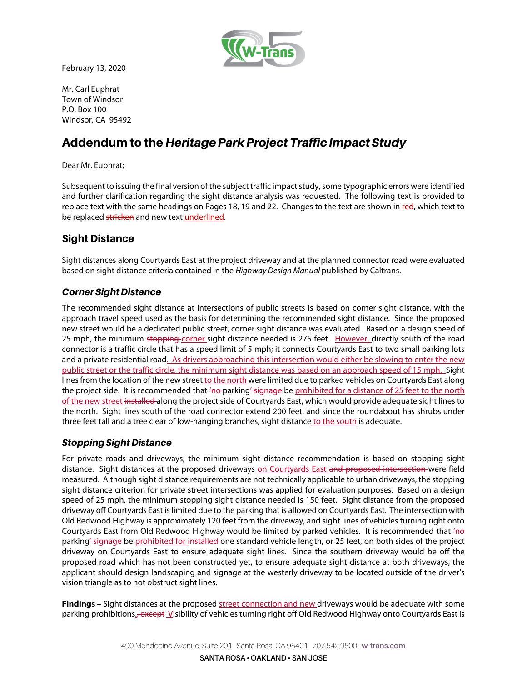

February 13, 2020

Mr. Carl Euphrat Town of Windsor P.O. Box 100 Windsor, CA 95492

# Addendum to the *Heritage Park Project Traffic Impact Study*

Dear Mr. Euphrat;

Subsequent to issuing the final version of the subject traffic impact study, some typographic errors were identified and further clarification regarding the sight distance analysis was requested. The following text is provided to replace text with the same headings on Pages 18, 19 and 22. Changes to the text are shown in red, which text to be replaced stricken and new text underlined.

## Sight Distance

Sight distances along Courtyards East at the project driveway and at the planned connector road were evaluated based on sight distance criteria contained in the Highway Design Manual published by Caltrans.

#### *Corner Sight Distance*

The recommended sight distance at intersections of public streets is based on corner sight distance, with the approach travel speed used as the basis for determining the recommended sight distance. Since the proposed new street would be a dedicated public street, corner sight distance was evaluated. Based on a design speed of 25 mph, the minimum stopping corner sight distance needed is 275 feet. However, directly south of the road connector is a traffic circle that has a speed limit of 5 mph; it connects Courtyards East to two small parking lots and a private residential road. As drivers approaching this intersection would either be slowing to enter the new public street or the traffic circle, the minimum sight distance was based on an approach speed of 15 mph. Sight lines from the location of the new street to the north were limited due to parked vehicles on Courtyards East along the project side. It is recommended that 'no-parking' signage be prohibited for a distance of 25 feet to the north of the new street installed along the project side of Courtyards East, which would provide adequate sight lines to the north. Sight lines south of the road connector extend 200 feet, and since the roundabout has shrubs under three feet tall and a tree clear of low-hanging branches, sight distance to the south is adequate.

### *Stopping Sight Distance*

For private roads and driveways, the minimum sight distance recommendation is based on stopping sight distance. Sight distances at the proposed driveways on Courtyards East and proposed intersection were field measured. Although sight distance requirements are not technically applicable to urban driveways, the stopping sight distance criterion for private street intersections was applied for evaluation purposes. Based on a design speed of 25 mph, the minimum stopping sight distance needed is 150 feet. Sight distance from the proposed driveway off Courtyards East is limited due to the parking that is allowed on Courtyards East. The intersection with Old Redwood Highway is approximately 120 feet from the driveway, and sight lines of vehicles turning right onto Courtyards East from Old Redwood Highway would be limited by parked vehicles. It is recommended that  $4\theta$ parking-signage be prohibited for installed one standard vehicle length, or 25 feet, on both sides of the project driveway on Courtyards East to ensure adequate sight lines. Since the southern driveway would be off the proposed road which has not been constructed yet, to ensure adequate sight distance at both driveways, the applicant should design landscaping and signage at the westerly driveway to be located outside of the driver's vision triangle as to not obstruct sight lines.

**Findings –** Sight distances at the proposed street connection and new driveways would be adequate with some parking prohibitions.<del>, except</del> Visibility of vehicles turning right off Old Redwood Highway onto Courtyards East is